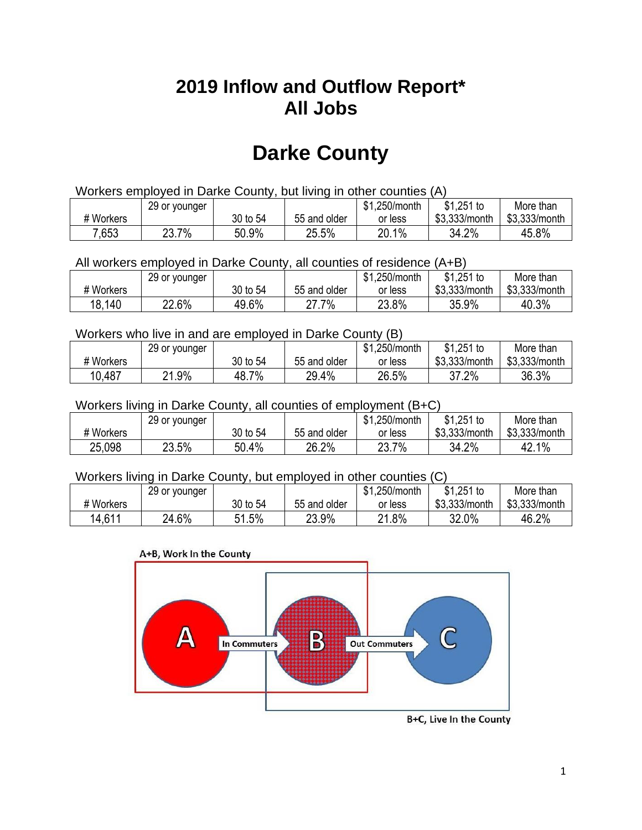## **2019 Inflow and Outflow Report\* All Jobs**

# **Darke County**

| Workers employed in Darke County, but living in other counties (A) |                                                           |          |              |         |               |               |  |  |  |
|--------------------------------------------------------------------|-----------------------------------------------------------|----------|--------------|---------|---------------|---------------|--|--|--|
|                                                                    | \$1.251 to<br>\$1.250/month<br>29 or younger<br>More than |          |              |         |               |               |  |  |  |
| # Workers                                                          |                                                           | 30 to 54 | 55 and older | or less | \$3.333/month | \$3,333/month |  |  |  |
| 7,653                                                              | 23.7%                                                     | 50.9%    | 25.5%        | 20.1%   | 34.2%         | 45.8%         |  |  |  |

All workers employed in Darke County, all counties of residence (A+B)

|           | 29 or younger |          |              | \$1,250/month | $$1,251$ to   | More than     |
|-----------|---------------|----------|--------------|---------------|---------------|---------------|
| # Workers |               | 30 to 54 | 55 and older | or less       | \$3,333/month | \$3,333/month |
| 18,140    | 22.6%         | 49.6%    | .7%          | 23.8%         | 35.9%         | 40.3%         |

#### Workers who live in and are employed in Darke County (B)

|           | 29 or younger |            |              | \$1,250/month | \$1,251 to    | More than     |
|-----------|---------------|------------|--------------|---------------|---------------|---------------|
| # Workers |               | 30 to 54   | 55 and older | or less       | \$3,333/month | \$3,333/month |
| 10,487    | 21.9%         | 7%<br>48.7 | 29.4%        | 26.5%         | 37.2%         | 36.3%         |

#### Workers living in Darke County, all counties of employment (B+C)

|           | 29 or younger |          |              | \$1,250/month | \$1,251 to    | More than     |
|-----------|---------------|----------|--------------|---------------|---------------|---------------|
| # Workers |               | 30 to 54 | 55 and older | or less       | \$3,333/month | \$3,333/month |
| 25,098    | 23.5%         | 50.4%    | 26.2%        | 23.7%         | 34.2%         | 42.1%         |

#### Workers living in Darke County, but employed in other counties (C)

|           | 29 or younger |          |              | \$1,250/month | $$1,251$ to   | More than     |
|-----------|---------------|----------|--------------|---------------|---------------|---------------|
| # Workers |               | 30 to 54 | 55 and older | or less       | \$3,333/month | \$3,333/month |
| 14,611    | 24.6%         | 51.5%    | 23.9%        | 21.8%         | 32.0%         | 46.2%         |





B+C, Live In the County